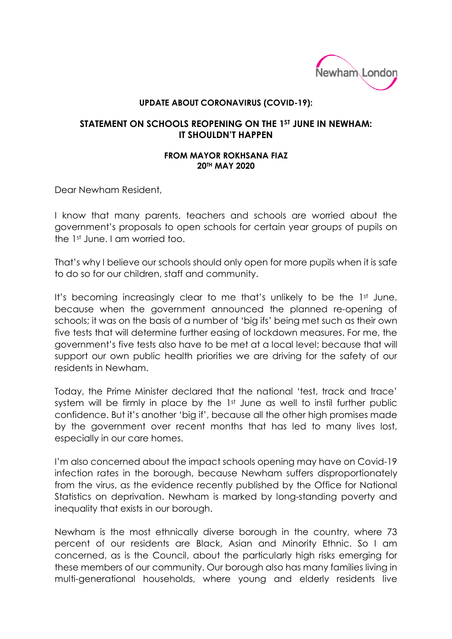

## **UPDATE ABOUT CORONAVIRUS (COVID-19):**

## **STATEMENT ON SCHOOLS REOPENING ON THE 1ST JUNE IN NEWHAM: IT SHOULDN'T HAPPEN**

## **FROM MAYOR ROKHSANA FIAZ 20TH MAY 2020**

Dear Newham Resident,

I know that many parents, teachers and schools are worried about the government's proposals to open schools for certain year groups of pupils on the 1st June. I am worried too.

That's why I believe our schools should only open for more pupils when it is safe to do so for our children, staff and community.

It's becoming increasingly clear to me that's unlikely to be the 1st June, because when the government announced the planned re-opening of schools; it was on the basis of a number of 'big ifs' being met such as their own five tests that will determine further easing of lockdown measures. For me, the government's five tests also have to be met at a local level; because that will support our own public health priorities we are driving for the safety of our residents in Newham.

Today, the Prime Minister declared that the national 'test, track and trace' system will be firmly in place by the 1<sup>st</sup> June as well to instil further public confidence. But it's another 'big if', because all the other high promises made by the government over recent months that has led to many lives lost, especially in our care homes.

I'm also concerned about the impact schools opening may have on Covid-19 infection rates in the borough, because Newham suffers disproportionately from the virus, as the evidence recently published by the Office for National Statistics on deprivation. Newham is marked by long-standing poverty and inequality that exists in our borough.

Newham is the most ethnically diverse borough in the country, where 73 percent of our residents are Black, Asian and Minority Ethnic. So I am concerned, as is the Council, about the particularly high risks emerging for these members of our community. Our borough also has many families living in multi-generational households, where young and elderly residents live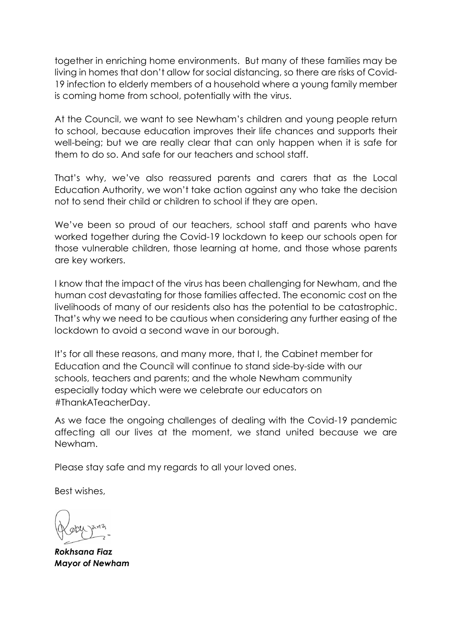together in enriching home environments. But many of these families may be living in homes that don't allow for social distancing, so there are risks of Covid-19 infection to elderly members of a household where a young family member is coming home from school, potentially with the virus.

At the Council, we want to see Newham's children and young people return to school, because education improves their life chances and supports their well-being; but we are really clear that can only happen when it is safe for them to do so. And safe for our teachers and school staff.

That's why, we've also reassured parents and carers that as the Local Education Authority, we won't take action against any who take the decision not to send their child or children to school if they are open.

We've been so proud of our teachers, school staff and parents who have worked together during the Covid-19 lockdown to keep our schools open for those vulnerable children, those learning at home, and those whose parents are key workers.

I know that the impact of the virus has been challenging for Newham, and the human cost devastating for those families affected. The economic cost on the livelihoods of many of our residents also has the potential to be catastrophic. That's why we need to be cautious when considering any further easing of the lockdown to avoid a second wave in our borough.

It's for all these reasons, and many more, that I, the Cabinet member for Education and the Council will continue to stand side-by-side with our schools, teachers and parents; and the whole Newham community especially today which were we celebrate our educators on #ThankATeacherDay.

As we face the ongoing challenges of dealing with the Covid-19 pandemic affecting all our lives at the moment, we stand united because we are Newham.

Please stay safe and my regards to all your loved ones.

Best wishes,

*Rokhsana Fiaz Mayor of Newham*